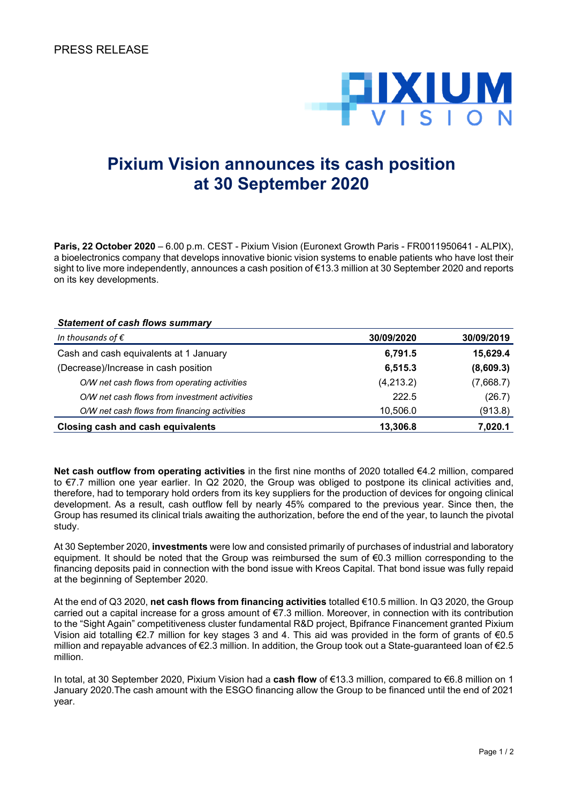

## **Pixium Vision announces its cash position at 30 September 2020**

**Paris, 22 October 2020** – 6.00 p.m. CEST - Pixium Vision (Euronext Growth Paris - FR0011950641 - ALPIX), a bioelectronics company that develops innovative bionic vision systems to enable patients who have lost their sight to live more independently, announces a cash position of €13.3 million at 30 September 2020 and reports on its key developments.

## *Statement of cash flows summary*

| In thousands of $\epsilon$                    | 30/09/2020 | 30/09/2019 |
|-----------------------------------------------|------------|------------|
| Cash and cash equivalents at 1 January        | 6,791.5    | 15,629.4   |
| (Decrease)/Increase in cash position          | 6,515.3    | (8,609.3)  |
| O/W net cash flows from operating activities  | (4,213.2)  | (7,668.7)  |
| O/W net cash flows from investment activities | 222.5      | (26.7)     |
| O/W net cash flows from financing activities  | 10,506.0   | (913.8)    |
| Closing cash and cash equivalents             | 13,306.8   | 7,020.1    |

**Net cash outflow from operating activities** in the first nine months of 2020 totalled €4.2 million, compared to €7.7 million one year earlier. In Q2 2020, the Group was obliged to postpone its clinical activities and, therefore, had to temporary hold orders from its key suppliers for the production of devices for ongoing clinical development. As a result, cash outflow fell by nearly 45% compared to the previous year. Since then, the Group has resumed its clinical trials awaiting the authorization, before the end of the year, to launch the pivotal study.

At 30 September 2020, **investments** were low and consisted primarily of purchases of industrial and laboratory equipment. It should be noted that the Group was reimbursed the sum of €0.3 million corresponding to the financing deposits paid in connection with the bond issue with Kreos Capital. That bond issue was fully repaid at the beginning of September 2020.

At the end of Q3 2020, **net cash flows from financing activities** totalled €10.5 million. In Q3 2020, the Group carried out a capital increase for a gross amount of €7.3 million. Moreover, in connection with its contribution to the "Sight Again" competitiveness cluster fundamental R&D project, Bpifrance Financement granted Pixium Vision aid totalling €2.7 million for key stages 3 and 4. This aid was provided in the form of grants of €0.5 million and repayable advances of €2.3 million. In addition, the Group took out a State-guaranteed loan of €2.5 million.

In total, at 30 September 2020, Pixium Vision had a **cash flow** of €13.3 million, compared to €6.8 million on 1 January 2020.The cash amount with the ESGO financing allow the Group to be financed until the end of 2021 year.